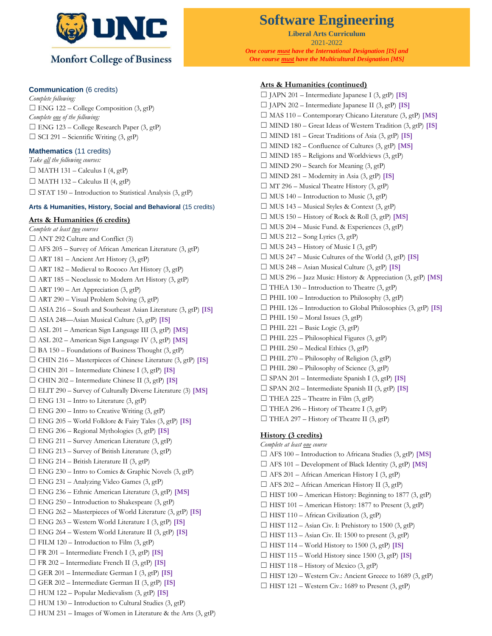

## **Communication** (6 credits)

*Complete following:*  $\Box$  ENG 122 – College Composition (3, gtP) *Complete one of the following:*  $\Box$  ENG 123 – College Research Paper (3, gtP)  $\Box$  SCI 291 – Scientific Writing (3, gtP)

## **Mathematics** (11 credits)

*Take all the following courses:*  $\Box$  MATH 131 – Calculus I (4, gtP)  $\Box$  MATH 132 – Calculus II (4, gtP)  $\Box$  STAT 150 – Introduction to Statistical Analysis (3, gtP)

### **Arts & Humanities, History, Social and Behavioral** (15 credits)

# **Arts & Humanities (6 credits)**

*Complete at least two courses*  $\Box$  ANT 292 Culture and Conflict (3)  $\Box$  AFS 205 – Survey of African American Literature (3, gtP)  $\Box$  ART 181 – Ancient Art History (3, gtP)  $\Box$  ART 182 – Medieval to Rococo Art History (3, gtP)  $\Box$  ART 185 – Neoclassic to Modern Art History (3, gtP)  $\Box$  ART 190 – Art Appreciation (3, gtP)  $\Box$  ART 290 – Visual Problem Solving (3, gtP) ☐ ASIA 216 – South and Southeast Asian Literature (3, gtP) **[IS]** ☐ ASIA 248—Asian Musical Culture (3, gtP) **[IS]** ☐ ASL 201 – American Sign Language III (3, gtP) **[MS]** ☐ ASL 202 – American Sign Language IV (3, gtP) **[MS]**  $\Box$  BA 150 – Foundations of Business Thought (3, gtP) ☐ CHIN 216 – Masterpieces of Chinese Literature (3, gtP) **[IS]** ☐ CHIN 201 – Intermediate Chinese I (3, gtP) **[IS]** ☐ CHIN 202 – Intermediate Chinese II (3, gtP) **[IS]** ☐ ELIT 290 – Survey of Culturally Diverse Literature (3) **[MS]**  $\Box$  ENG 131 – Intro to Literature (3, gtP)  $\Box$  ENG 200 – Intro to Creative Writing (3, gtP) ☐ ENG 205 – World Folklore & Fairy Tales (3, gtP) **[IS]** ☐ ENG 206 – Regional Mythologies (3, gtP) **[IS]**  $\Box$  ENG 211 – Survey American Literature (3, gtP)  $\Box$  ENG 213 – Survey of British Literature (3, gtP)  $\Box$  ENG 214 – British Literature II (3, gtP) ☐ ENG 230 – Intro to Comics & Graphic Novels (3, gtP)  $\Box$  ENG 231 – Analyzing Video Games (3, gtP) ☐ ENG 236 – Ethnic American Literature (3, gtP) **[MS]**  $\Box$  ENG 250 – Introduction to Shakespeare (3, gtP) ☐ ENG 262 – Masterpieces of World Literature (3, gtP) **[IS]** ☐ ENG 263 – Western World Literature I (3, gtP) **[IS]** ☐ ENG 264 – Western World Literature II (3, gtP) **[IS]**  $\Box$  FILM 120 – Introduction to Film (3, gtP) ☐ FR 201 – Intermediate French I (3, gtP) **[IS]** ☐ FR 202 – Intermediate French II (3, gtP) **[IS]** ☐ GER 201 – Intermediate German I (3, gtP) **[IS]** ☐ GER 202 – Intermediate German II (3, gtP) **[IS]** ☐ HUM 122 – Popular Medievalism (3, gtP) **[IS]**  $\Box$  HUM 130 – Introduction to Cultural Studies (3, gtP)  $\Box$  HUM 231 – Images of Women in Literature & the Arts (3, gtP)

# **Software Engineering**

**Liberal Arts Curriculum** 2021-2022 *One course must have the International Designation [IS] and One course must have the Multicultural Designation [MS]*

#### **Arts & Humanities (continued)**

☐ JAPN 201 – Intermediate Japanese I (3, gtP) **[IS]** ☐ JAPN 202 – Intermediate Japanese II (3, gtP) **[IS]** ☐ MAS 110 – Contemporary Chicano Literature (3, gtP) **[MS]** ☐ MIND 180 – Great Ideas of Western Tradition (3, gtP) **[IS]** ☐ MIND 181 – Great Traditions of Asia (3, gtP) **[IS]** ☐ MIND 182 – Confluence of Cultures (3, gtP) **[MS]**  $\Box$  MIND 185 – Religions and Worldviews (3, gtP)  $\Box$  MIND 290 – Search for Meaning (3, gtP)  $\Box$  MIND 281 – Modernity in Asia (3, gtP) **[IS]**  $\Box$  MT 296 – Musical Theatre History (3, gtP)  $\Box$  MUS 140 – Introduction to Music (3, gtP)  $\Box$  MUS 143 – Musical Styles & Context (3, gtP)  $\Box$  MUS 150 – History of Rock & Roll  $(3,gtP)$  [MS]  $\Box$  MUS 204 – Music Fund. & Experiences (3, gtP)  $\Box$  MUS 212 – Song Lyrics (3, gtP)  $\Box$  MUS 243 – History of Music I (3, gtP) ☐ MUS 247 – Music Cultures of the World (3, gtP) **[IS]** ☐ MUS 248 – Asian Musical Culture (3, gtP) **[IS]** ☐ MUS 296 – Jazz Music: History & Appreciation (3, gtP) **[MS]**  $\Box$  THEA 130 – Introduction to Theatre (3, gtP)  $\Box$  PHIL 100 – Introduction to Philosophy (3, gtP) ☐ PHIL 126 – Introduction to Global Philosophies (3, gtP) **[IS]**  $\Box$  PHIL 150 – Moral Issues (3, gtP)  $\Box$  PHIL 221 – Basic Logic (3, gtP)  $\Box$  PHIL 225 – Philosophical Figures (3, gtP)  $\Box$  PHIL 250 – Medical Ethics (3, gtP)  $\Box$  PHIL 270 – Philosophy of Religion (3, gtP)  $\Box$  PHIL 280 – Philosophy of Science (3, gtP) ☐ SPAN 201 – Intermediate Spanish I (3, gtP) **[IS]** ☐ SPAN 202 – Intermediate Spanish II (3, gtP) **[IS]**  $\Box$  THEA 225 – Theatre in Film (3, gtP)  $\Box$  THEA 296 – History of Theatre I (3, gtP)  $\Box$  THEA 297 – History of Theatre II (3, gtP) **History (3 credits)** *Complete at least one course* ☐ AFS 100 – Introduction to Africana Studies (3, gtP) **[MS]**

- ☐ AFS 101 Development of Black Identity (3, gtP) **[MS]**  $\Box$  AFS 201 – African American History I (3, gtP)  $\Box$  AFS 202 – African American History II (3, gtP)  $\Box$  HIST 100 – American History: Beginning to 1877 (3, gtP)  $\Box$  HIST 101 – American History: 1877 to Present (3, gtP)  $\Box$  HIST 110 – African Civilization (3, gtP)  $\Box$  HIST 112 – Asian Civ. I: Prehistory to 1500 (3, gtP)  $\Box$  HIST 113 – Asian Civ. II: 1500 to present (3, gtP)  $\Box$  HIST 114 – World History to 1500 (3, gtP) **[IS]**
- ☐ HIST 115 World History since 1500 (3, gtP) **[IS]**
- $\Box$  HIST 118 History of Mexico (3, gtP)
- $\Box$  HIST 120 Western Civ.: Ancient Greece to 1689 (3, gtP)
- $\Box$  HIST 121 Western Civ.: 1689 to Present (3, gtP)